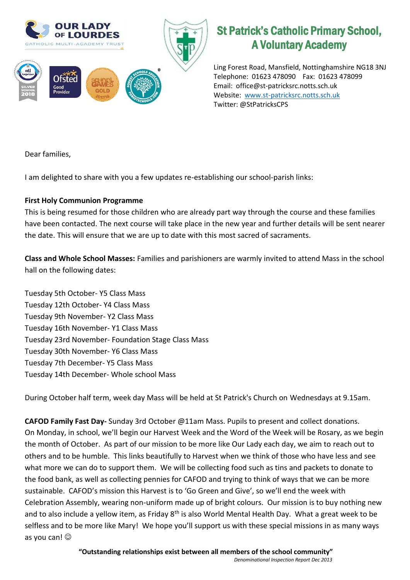

## St Patrick's Catholic Primary School, A Voluntary Academy

Ling Forest Road, Mansfield, Nottinghamshire NG18 3NJ Telephone: 01623 478090 Fax: 01623 478099 Email: office@st-patricksrc.notts.sch.uk Website: [www.st-patricksrc.notts.sch.uk](http://www.st-patricksrc.notts.sch.uk/) Twitter: @StPatricksCPS

Dear families,

I am delighted to share with you a few updates re-establishing our school-parish links:

## **First Holy Communion Programme**

This is being resumed for those children who are already part way through the course and these families have been contacted. The next course will take place in the new year and further details will be sent nearer the date. This will ensure that we are up to date with this most sacred of sacraments.

**Class and Whole School Masses:** Families and parishioners are warmly invited to attend Mass in the school hall on the following dates:

Tuesday 5th October- Y5 Class Mass Tuesday 12th October- Y4 Class Mass Tuesday 9th November- Y2 Class Mass Tuesday 16th November- Y1 Class Mass Tuesday 23rd November- Foundation Stage Class Mass Tuesday 30th November- Y6 Class Mass Tuesday 7th December- Y5 Class Mass Tuesday 14th December- Whole school Mass

During October half term, week day Mass will be held at St Patrick's Church on Wednesdays at 9.15am.

**CAFOD Family Fast Day-** Sunday 3rd October @11am Mass. Pupils to present and collect donations. On Monday, in school, we'll begin our Harvest Week and the Word of the Week will be Rosary, as we begin the month of October. As part of our mission to be more like Our Lady each day, we aim to reach out to others and to be humble. This links beautifully to Harvest when we think of those who have less and see what more we can do to support them. We will be collecting food such as tins and packets to donate to the food bank, as well as collecting pennies for CAFOD and trying to think of ways that we can be more sustainable. CAFOD's mission this Harvest is to 'Go Green and Give', so we'll end the week with Celebration Assembly, wearing non-uniform made up of bright colours. Our mission is to buy nothing new and to also include a yellow item, as Friday 8<sup>th</sup> is also World Mental Health Day. What a great week to be selfless and to be more like Mary! We hope you'll support us with these special missions in as many ways as you can!